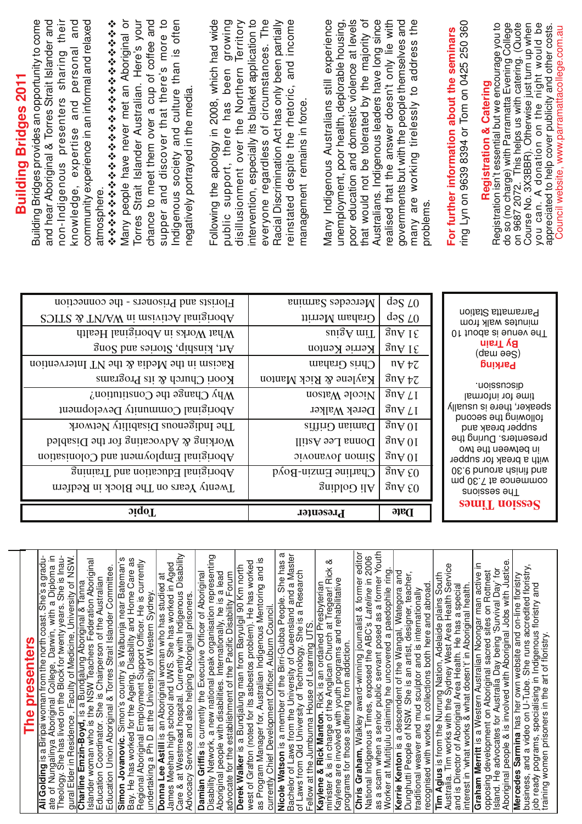| <b>Building Bridges 2011</b> | and hear Aboriginal & Torres Strait Islander and<br>their<br>and<br>supper and discover that there's more to<br>and culture than is often<br>Building Bridges provides an opportunity to come<br>community experience in an informal and relaxed<br>Many people have never met an Aboriginal or<br>Here's your<br>chance to meet them over a cup of coffee and<br>Following the apology in 2008, which had wide<br>growing<br>disillusionment over the Northern Territory<br>やややややややややややややややややややややや<br>personal<br>sharing<br>been<br>Strait Islander Australian.<br>negatively portrayed in the media<br>non-Indigenous presenters<br>knowledge, expertise and<br>support, there has<br>Indigenous society<br>atmosphere.<br>public<br>Torres                                                                                                                                                                                                                                                                                                                                                                                                                                                                                                                                                                                                                                                                                                  | that would not be tolerated by the majority of<br>intervention, especially its blanket application to<br>everyone regardless of circumstances. The<br>and income<br>poor education and domestic violence at levels<br>Australians. Indigenous leaders have long since<br>Racial Discrimination Act has only been partially<br>Many Indigenous Australians still experience<br>unemployment, poor health, deplorable housing,<br>reinstated despite the rhetoric,<br>management remains in force                                                                                                                                                                                                                                                                                                                                                                                                     | realised that the answer doesn't only lie with<br>governments but with the people themselves and<br>the<br>many are working tirelessly to address<br>problems                                                                                                                                                                                                                                                                                                                                                                                                                                                                                                                                                                                                                                   | ring Lyn on 9639 8394 or Tom on 0425 250 360<br>do so (no charge) with Parramatta Evening College<br>This helps us with catering. (Quote<br>Course No. 3X3BBR). Otherwise just turn up when<br>you can. A donation on the night would be<br>Registration isn't essential but we encourage you to<br>appreciated to help cover publicity and other costs.<br>Council website, www.parramattacollege.com.au<br>For further information about the seminars<br><b>Registration &amp; Catering</b><br>on 9687 2072.                                                                                                                                                                                                                                                                                   |
|------------------------------|-------------------------------------------------------------------------------------------------------------------------------------------------------------------------------------------------------------------------------------------------------------------------------------------------------------------------------------------------------------------------------------------------------------------------------------------------------------------------------------------------------------------------------------------------------------------------------------------------------------------------------------------------------------------------------------------------------------------------------------------------------------------------------------------------------------------------------------------------------------------------------------------------------------------------------------------------------------------------------------------------------------------------------------------------------------------------------------------------------------------------------------------------------------------------------------------------------------------------------------------------------------------------------------------------------------------------------------------------------------------------------------------------------------------------------------------------|-----------------------------------------------------------------------------------------------------------------------------------------------------------------------------------------------------------------------------------------------------------------------------------------------------------------------------------------------------------------------------------------------------------------------------------------------------------------------------------------------------------------------------------------------------------------------------------------------------------------------------------------------------------------------------------------------------------------------------------------------------------------------------------------------------------------------------------------------------------------------------------------------------|-------------------------------------------------------------------------------------------------------------------------------------------------------------------------------------------------------------------------------------------------------------------------------------------------------------------------------------------------------------------------------------------------------------------------------------------------------------------------------------------------------------------------------------------------------------------------------------------------------------------------------------------------------------------------------------------------------------------------------------------------------------------------------------------------|--------------------------------------------------------------------------------------------------------------------------------------------------------------------------------------------------------------------------------------------------------------------------------------------------------------------------------------------------------------------------------------------------------------------------------------------------------------------------------------------------------------------------------------------------------------------------------------------------------------------------------------------------------------------------------------------------------------------------------------------------------------------------------------------------|
|                              | Florists and Prisoners - the connection<br>Aboriginal Activism in WA/NT & STICS<br>What Works in Aboriginal Health<br>Art, kinship, Stories and Song<br>Racism in the Media & the NT Intervention<br>Koori Church & its Programs<br>Why Change the Constitution?<br>Aboriginal Community Development<br>The Indigenous Disability Network<br>Working & Advocating for the Disabled<br>Aboriginal Employment and Colonisation<br>Aboriginal Education and Training<br>Twenty Years on The Block in Redfern<br>oiqoT                                                                                                                                                                                                                                                                                                                                                                                                                                                                                                                                                                                                                                                                                                                                                                                                                                                                                                                              | Mercedes Sarmina<br>Graham Merritt<br>$\frac{\text{snigA}}{\text{mir}}$<br>Kerrie Kenton<br>Chris Graham<br>Kaylene & Rick Manton<br>Nicole Watson<br>Derek Walker<br>Danian Griffis<br>Donna Lee Astill<br>Sinon Jovanovic<br>Charline Emzin-Boyd<br>Ali Golding<br>Presenter                                                                                                                                                                                                                                                                                                                                                                                                                                                                                                                                                                                                                      | $\log$ $L0$<br>dəs LO<br>$\overline{3}$ n $\forall$ I $\xi$<br>$\frac{3n}{\sqrt{5}}$<br>$n \forall \forall \forall$<br>$\partial \eta$ and $\partial \zeta$<br>$\sqrt{3}$ n $V$ $L$ I<br>$\mathop{\mathrm{g}}\nolimits$ n $\mathop{\mathrm{g}}\nolimits$<br>$\frac{1}{3}$ uA 01<br>$\mathfrak{g}\mathfrak{n}\mathsf{A}\mathfrak{0}\mathfrak{l}$<br>$\mathfrak{g} \mathfrak{n} \mathsf{A}$ 01<br>$\frac{1}{2}$ $\frac{1}{2}$ $\frac{1}{2}$ $\frac{1}{2}$ $\frac{1}{2}$ $\frac{1}{2}$ $\frac{1}{2}$ $\frac{1}{2}$ $\frac{1}{2}$ $\frac{1}{2}$ $\frac{1}{2}$ $\frac{1}{2}$ $\frac{1}{2}$ $\frac{1}{2}$ $\frac{1}{2}$ $\frac{1}{2}$ $\frac{1}{2}$ $\frac{1}{2}$ $\frac{1}{2}$ $\frac{1}{2}$ $\frac{1}{2}$ $\frac{1}{2}$<br>$\mathfrak{g} \mathfrak{n} \mathfrak{h}$ $\mathfrak{e} 0$<br><b>Date</b> | noitst2 sttemsns9<br>minutes walk from<br>Of tuods ai sunev enT<br><b>By Train</b><br>(qsm ee2)<br><b>Parking</b><br>.noissuosib<br>time for informal<br>speaker, there is usually<br>following the second<br>supper break and<br>presenters. During the<br>in between the two<br>with a break for supper<br>0E.e bnuons dainit bns<br>mq 0£.∑ <del>I</del> s əɔnəmmoɔ<br>znoizzez enT<br>uiT noissəS                                                                                                                                                                                                                                                                                                                                                                                            |
|                              | Care & at Westmead hospital. Currently with Indigenous Disability<br>Disability Network, a new national peak organisation representing<br>ate of Nungalinya Aboriginal College, Darwin, with a Diploma in<br>Theology. She has lived on the Block for twenty years. She is Inau-<br>Ali Golding is a Biripai woman from the north coast. She's a gradu-<br>gural Elder in Residence, Faculty of Medicine, University of NSW.<br>Simon Jovanovic. Simon's country is Walbunja near Bateman's<br>Bay. He has worked for the Ageing, Disability and Home Care as<br>Regional Aboriginal Employment Support Officer. He is currently<br>undertaking a Ph D at the University of Western Sydney.<br><b>Charline Emzin-Boyd,</b> is a Bundjalung Aboriginal & Tanna<br>Islander woman who is the NSW Teachers Federation Aboriginal<br>lames Meehan high school and UWS. She has worked in Aged<br>Derek Walker is a Bundjalung man from Baryulgil 90 Km north<br>Education Union Aboriginal & Torres Strait Islander Committee.<br>Aboriginal people with disabilities. Internationally, he is a lead<br>advocate for the establishment of the Pacific Disability Forum<br>Damian Griffis is currently the Executive Officer of Aboriginal<br>Donna Lee Astill is an Aboriginal woman who has studied at<br>Education Coordinator. She is Chairperson of the Australian<br>Advocacy Service and also helping Aboriginal prisoners.<br>The presenters | as a scam when a senior public servant posed as a former Youth<br>Nicole Watson is a member of the Birri-Gubba People. She has a<br>Chris Graham, Walkley award-winning journalist & former editor<br>Bachelor of Laws from the University of Queensland and a Master<br>National Indigenous Times, exposed the ABC's Lateline in 2006<br>as Program Manager for, Australian Indigenous Mentoring and is<br>minister & is in charge of the Anglican Church at Tregear! Rick &<br>Kaylene are involved with youth programs and rehabilitative<br>west of Grafton (noted for its asbestos problem). He has worked<br>of Laws from Qld University of Technology. She is a Research<br>Kaylene & Rick Manton. Rick is an ordained Presbyterian<br>currently Chief Development Officer, Auburn Council.<br>Fellow at the Jumbunna House of Learning UTS.<br>programs for those suffering from addiction. | Worker at Mutitjulu claiming he uncovered a paedophile ring.<br>Kerrie Kenton is a descendent of the Wangal, Wategora and<br>Dunghutti People of NSW. She is an artist, designer, teacher,<br>traditional weaver and mud sculptor and is internationally<br>recognised with works in collections both here and abroad.                                                                                                                                                                                                                                                                                                                                                                                                                                                                          | Aboriginal people & is involved with Aboriginal Jobs with Justice.<br>Graham Merritt is a Western Australian Noongar man active in<br><b>Tim Agius</b> is from the Nurrung Nation, Adelaide plains South<br>Australia. Tim works with the Sydney West Area Health Service<br>business, and a video on U-Tube. She runs accredited floristry,<br>Island. He advocates for Australia Day being 'Survival Day' for<br>opposing development on Aboriginal sacred sites on Rottnest<br>Mercedes Sarmina has her own website and on-line floristry<br>job ready pograms, specialising in Indigenous floristry and<br>and is Director of Aboriginal Area Health. He has a special<br>interest in 'what works & what doesn't' in Aboriginal health.<br>training women prisoners in the art of floristry. |